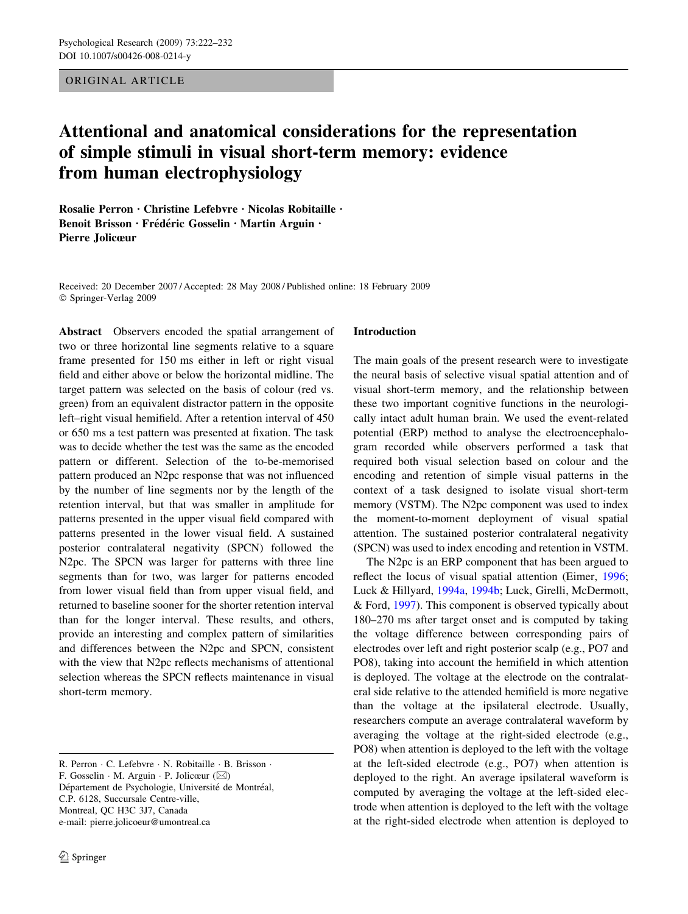ORIGINAL ARTICLE

# Attentional and anatomical considerations for the representation of simple stimuli in visual short-term memory: evidence from human electrophysiology

Rosalie Perron · Christine Lefebvre · Nicolas Robitaille · Benoit Brisson · Frédéric Gosselin · Martin Arguin · Pierre Jolicœur

Received: 20 December 2007 / Accepted: 28 May 2008 / Published online: 18 February 2009 © Springer-Verlag 2009

Abstract Observers encoded the spatial arrangement of two or three horizontal line segments relative to a square frame presented for 150 ms either in left or right visual field and either above or below the horizontal midline. The target pattern was selected on the basis of colour (red vs. green) from an equivalent distractor pattern in the opposite left–right visual hemifield. After a retention interval of 450 or 650 ms a test pattern was presented at fixation. The task was to decide whether the test was the same as the encoded pattern or different. Selection of the to-be-memorised pattern produced an N2pc response that was not influenced by the number of line segments nor by the length of the retention interval, but that was smaller in amplitude for patterns presented in the upper visual field compared with patterns presented in the lower visual field. A sustained posterior contralateral negativity (SPCN) followed the N2pc. The SPCN was larger for patterns with three line segments than for two, was larger for patterns encoded from lower visual field than from upper visual field, and returned to baseline sooner for the shorter retention interval than for the longer interval. These results, and others, provide an interesting and complex pattern of similarities and differences between the N2pc and SPCN, consistent with the view that N2pc reflects mechanisms of attentional selection whereas the SPCN reflects maintenance in visual short-term memory.

R. Perron · C. Lefebvre · N. Robitaille · B. Brisson · F. Gosselin  $\cdot$  M. Arguin  $\cdot$  P. Jolicœur ( $\boxtimes$ ) Département de Psychologie, Université de Montréal, C.P. 6128, Succursale Centre-ville, Montreal, QC H3C 3J7, Canada e-mail: pierre.jolicoeur@umontreal.ca

## Introduction

The main goals of the present research were to investigate the neural basis of selective visual spatial attention and of visual short-term memory, and the relationship between these two important cognitive functions in the neurologically intact adult human brain. We used the event-related potential (ERP) method to analyse the electroencephalogram recorded while observers performed a task that required both visual selection based on colour and the encoding and retention of simple visual patterns in the context of a task designed to isolate visual short-term memory (VSTM). The N2pc component was used to index the moment-to-moment deployment of visual spatial attention. The sustained posterior contralateral negativity (SPCN) was used to index encoding and retention in VSTM.

The N2pc is an ERP component that has been argued to reflect the locus of visual spatial attention (Eimer, [1996](#page-9-0); Luck & Hillyard, [1994a,](#page-10-0) [1994b;](#page-10-0) Luck, Girelli, McDermott, & Ford, [1997](#page-10-0)). This component is observed typically about 180–270 ms after target onset and is computed by taking the voltage difference between corresponding pairs of electrodes over left and right posterior scalp (e.g., PO7 and PO8), taking into account the hemifield in which attention is deployed. The voltage at the electrode on the contralateral side relative to the attended hemifield is more negative than the voltage at the ipsilateral electrode. Usually, researchers compute an average contralateral waveform by averaging the voltage at the right-sided electrode (e.g., PO8) when attention is deployed to the left with the voltage at the left-sided electrode (e.g., PO7) when attention is deployed to the right. An average ipsilateral waveform is computed by averaging the voltage at the left-sided electrode when attention is deployed to the left with the voltage at the right-sided electrode when attention is deployed to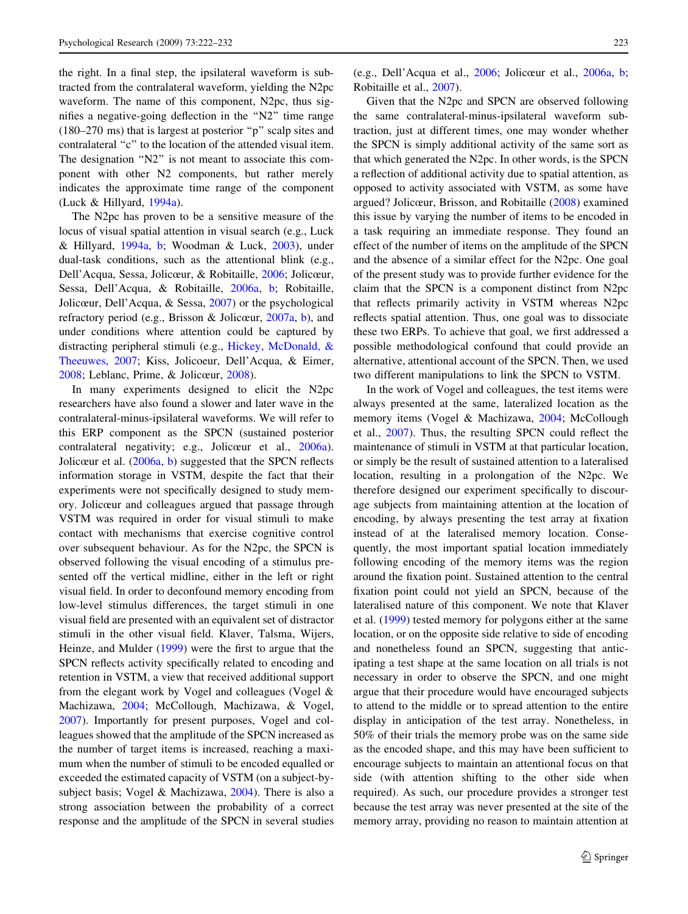the right. In a final step, the ipsilateral waveform is subtracted from the contralateral waveform, yielding the N2pc waveform. The name of this component, N2pc, thus signifies a negative-going deflection in the ''N2'' time range (180–270 ms) that is largest at posterior ''p'' scalp sites and contralateral ''c'' to the location of the attended visual item. The designation "N2" is not meant to associate this component with other N2 components, but rather merely indicates the approximate time range of the component (Luck & Hillyard, [1994a](#page-10-0)).

The N2pc has proven to be a sensitive measure of the locus of visual spatial attention in visual search (e.g., Luck & Hillyard, [1994a,](#page-10-0) [b](#page-10-0); Woodman & Luck, [2003\)](#page-10-0), under dual-task conditions, such as the attentional blink (e.g., Dell'Acqua, Sessa, Jolicœur, & Robitaille, [2006](#page-9-0); Jolicœur, Sessa, Dell'Acqua, & Robitaille, [2006a](#page-10-0), [b;](#page-10-0) Robitaille, Jolicœur, Dell'Acqua, & Sessa, [2007\)](#page-10-0) or the psychological refractory period (e.g., Brisson & Jolicœur, [2007a](#page-9-0), [b\)](#page-9-0), and under conditions where attention could be captured by distracting peripheral stimuli (e.g., [Hickey, McDonald, &](#page-9-0) [Theeuwes, 2007;](#page-9-0) Kiss, Jolicoeur, Dell'Acqua, & Eimer, [2008;](#page-10-0) Leblanc, Prime, & Jolicœur, [2008](#page-10-0)).

In many experiments designed to elicit the N2pc researchers have also found a slower and later wave in the contralateral-minus-ipsilateral waveforms. We will refer to this ERP component as the SPCN (sustained posterior contralateral negativity; e.g., Jolicœur et al., [2006a](#page-10-0)). Jolicœur et al. [\(2006a](#page-10-0), [b](#page-10-0)) suggested that the SPCN reflects information storage in VSTM, despite the fact that their experiments were not specifically designed to study memory. Jolicœur and colleagues argued that passage through VSTM was required in order for visual stimuli to make contact with mechanisms that exercise cognitive control over subsequent behaviour. As for the N2pc, the SPCN is observed following the visual encoding of a stimulus presented off the vertical midline, either in the left or right visual field. In order to deconfound memory encoding from low-level stimulus differences, the target stimuli in one visual field are presented with an equivalent set of distractor stimuli in the other visual field. Klaver, Talsma, Wijers, Heinze, and Mulder ([1999\)](#page-10-0) were the first to argue that the SPCN reflects activity specifically related to encoding and retention in VSTM, a view that received additional support from the elegant work by Vogel and colleagues (Vogel & Machizawa, [2004;](#page-10-0) McCollough, Machizawa, & Vogel, [2007\)](#page-10-0). Importantly for present purposes, Vogel and colleagues showed that the amplitude of the SPCN increased as the number of target items is increased, reaching a maximum when the number of stimuli to be encoded equalled or exceeded the estimated capacity of VSTM (on a subject-bysubject basis; Vogel & Machizawa, [2004\)](#page-10-0). There is also a strong association between the probability of a correct response and the amplitude of the SPCN in several studies (e.g., Dell'Acqua et al., [2006](#page-9-0); Jolicœur et al., [2006a,](#page-10-0) [b](#page-10-0); Robitaille et al., [2007](#page-10-0)).

Given that the N2pc and SPCN are observed following the same contralateral-minus-ipsilateral waveform subtraction, just at different times, one may wonder whether the SPCN is simply additional activity of the same sort as that which generated the N2pc. In other words, is the SPCN a reflection of additional activity due to spatial attention, as opposed to activity associated with VSTM, as some have argued? Jolicœur, Brisson, and Robitaille [\(2008](#page-10-0)) examined this issue by varying the number of items to be encoded in a task requiring an immediate response. They found an effect of the number of items on the amplitude of the SPCN and the absence of a similar effect for the N2pc. One goal of the present study was to provide further evidence for the claim that the SPCN is a component distinct from N2pc that reflects primarily activity in VSTM whereas N2pc reflects spatial attention. Thus, one goal was to dissociate these two ERPs. To achieve that goal, we first addressed a possible methodological confound that could provide an alternative, attentional account of the SPCN. Then, we used two different manipulations to link the SPCN to VSTM.

In the work of Vogel and colleagues, the test items were always presented at the same, lateralized location as the memory items (Vogel & Machizawa, [2004;](#page-10-0) McCollough et al., [2007](#page-10-0)). Thus, the resulting SPCN could reflect the maintenance of stimuli in VSTM at that particular location, or simply be the result of sustained attention to a lateralised location, resulting in a prolongation of the N2pc. We therefore designed our experiment specifically to discourage subjects from maintaining attention at the location of encoding, by always presenting the test array at fixation instead of at the lateralised memory location. Consequently, the most important spatial location immediately following encoding of the memory items was the region around the fixation point. Sustained attention to the central fixation point could not yield an SPCN, because of the lateralised nature of this component. We note that Klaver et al. ([1999\)](#page-10-0) tested memory for polygons either at the same location, or on the opposite side relative to side of encoding and nonetheless found an SPCN, suggesting that anticipating a test shape at the same location on all trials is not necessary in order to observe the SPCN, and one might argue that their procedure would have encouraged subjects to attend to the middle or to spread attention to the entire display in anticipation of the test array. Nonetheless, in 50% of their trials the memory probe was on the same side as the encoded shape, and this may have been sufficient to encourage subjects to maintain an attentional focus on that side (with attention shifting to the other side when required). As such, our procedure provides a stronger test because the test array was never presented at the site of the memory array, providing no reason to maintain attention at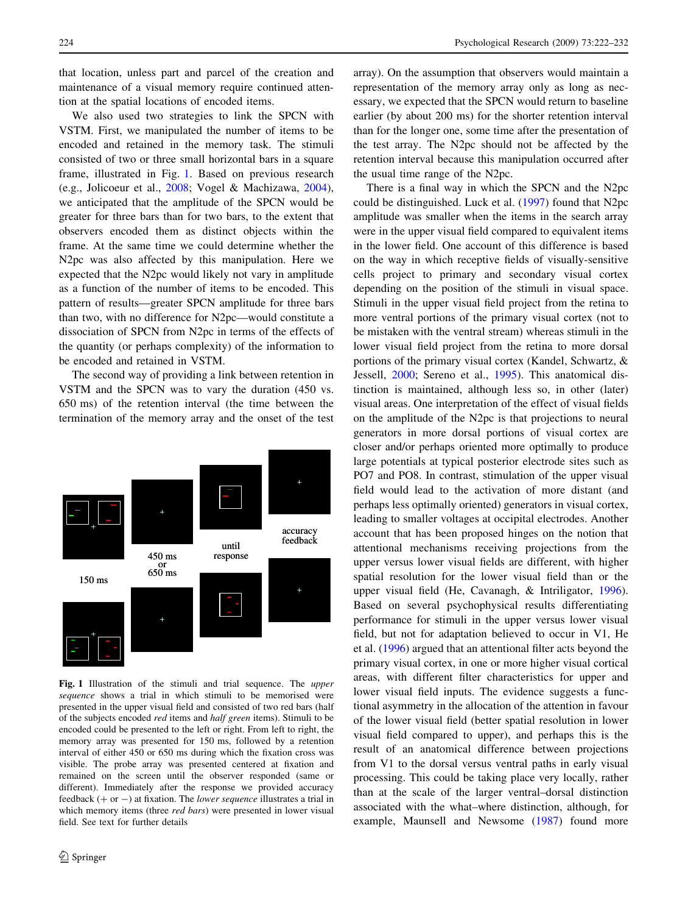that location, unless part and parcel of the creation and maintenance of a visual memory require continued attention at the spatial locations of encoded items.

We also used two strategies to link the SPCN with VSTM. First, we manipulated the number of items to be encoded and retained in the memory task. The stimuli consisted of two or three small horizontal bars in a square frame, illustrated in Fig. [1](#page-2-0). Based on previous research (e.g., Jolicoeur et al., [2008;](#page-10-0) Vogel & Machizawa, [2004](#page-10-0)), we anticipated that the amplitude of the SPCN would be greater for three bars than for two bars, to the extent that observers encoded them as distinct objects within the frame. At the same time we could determine whether the N2pc was also affected by this manipulation. Here we expected that the N2pc would likely not vary in amplitude as a function of the number of items to be encoded. This pattern of results—greater SPCN amplitude for three bars than two, with no difference for N2pc—would constitute a dissociation of SPCN from N2pc in terms of the effects of the quantity (or perhaps complexity) of the information to be encoded and retained in VSTM.

The second way of providing a link between retention in VSTM and the SPCN was to vary the duration (450 vs. 650 ms) of the retention interval (the time between the termination of the memory array and the onset of the test



<span id="page-2-0"></span>Fig. 1 Illustration of the stimuli and trial sequence. The *upper* sequence shows a trial in which stimuli to be memorised were presented in the upper visual field and consisted of two red bars (half of the subjects encoded *red* items and *half green* items). Stimuli to be encoded could be presented to the left or right. From left to right, the memory array was presented for 150 ms, followed by a retention interval of either 450 or 650 ms during which the fixation cross was visible. The probe array was presented centered at fixation and remained on the screen until the observer responded (same or different). Immediately after the response we provided accuracy feedback  $(+ or -)$  at fixation. The lower sequence illustrates a trial in which memory items (three *red bars*) were presented in lower visual field. See text for further details

array). On the assumption that observers would maintain a representation of the memory array only as long as necessary, we expected that the SPCN would return to baseline earlier (by about 200 ms) for the shorter retention interval than for the longer one, some time after the presentation of the test array. The N2pc should not be affected by the retention interval because this manipulation occurred after the usual time range of the N2pc.

There is a final way in which the SPCN and the N2pc could be distinguished. Luck et al. [\(1997](#page-10-0)) found that N2pc amplitude was smaller when the items in the search array were in the upper visual field compared to equivalent items in the lower field. One account of this difference is based on the way in which receptive fields of visually-sensitive cells project to primary and secondary visual cortex depending on the position of the stimuli in visual space. Stimuli in the upper visual field project from the retina to more ventral portions of the primary visual cortex (not to be mistaken with the ventral stream) whereas stimuli in the lower visual field project from the retina to more dorsal portions of the primary visual cortex (Kandel, Schwartz, & Jessell, [2000](#page-10-0); Sereno et al., [1995\)](#page-10-0). This anatomical distinction is maintained, although less so, in other (later) visual areas. One interpretation of the effect of visual fields on the amplitude of the N2pc is that projections to neural generators in more dorsal portions of visual cortex are closer and/or perhaps oriented more optimally to produce large potentials at typical posterior electrode sites such as PO7 and PO8. In contrast, stimulation of the upper visual field would lead to the activation of more distant (and perhaps less optimally oriented) generators in visual cortex, leading to smaller voltages at occipital electrodes. Another account that has been proposed hinges on the notion that attentional mechanisms receiving projections from the upper versus lower visual fields are different, with higher spatial resolution for the lower visual field than or the upper visual field (He, Cavanagh, & Intriligator, [1996](#page-9-0)). Based on several psychophysical results differentiating performance for stimuli in the upper versus lower visual field, but not for adaptation believed to occur in V1, He et al. [\(1996](#page-9-0)) argued that an attentional filter acts beyond the primary visual cortex, in one or more higher visual cortical areas, with different filter characteristics for upper and lower visual field inputs. The evidence suggests a functional asymmetry in the allocation of the attention in favour of the lower visual field (better spatial resolution in lower visual field compared to upper), and perhaps this is the result of an anatomical difference between projections from V1 to the dorsal versus ventral paths in early visual processing. This could be taking place very locally, rather than at the scale of the larger ventral–dorsal distinction associated with the what–where distinction, although, for example, Maunsell and Newsome ([1987\)](#page-10-0) found more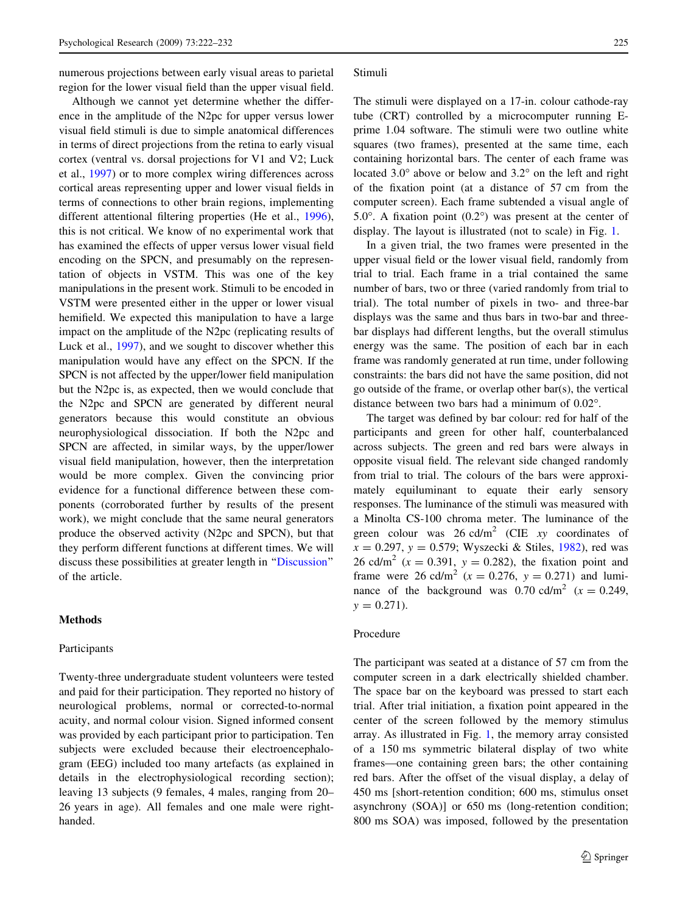numerous projections between early visual areas to parietal region for the lower visual field than the upper visual field.

Although we cannot yet determine whether the difference in the amplitude of the N2pc for upper versus lower visual field stimuli is due to simple anatomical differences in terms of direct projections from the retina to early visual cortex (ventral vs. dorsal projections for V1 and V2; Luck et al., [1997\)](#page-10-0) or to more complex wiring differences across cortical areas representing upper and lower visual fields in terms of connections to other brain regions, implementing different attentional filtering properties (He et al., [1996](#page-9-0)), this is not critical. We know of no experimental work that has examined the effects of upper versus lower visual field encoding on the SPCN, and presumably on the representation of objects in VSTM. This was one of the key manipulations in the present work. Stimuli to be encoded in VSTM were presented either in the upper or lower visual hemifield. We expected this manipulation to have a large impact on the amplitude of the N2pc (replicating results of Luck et al., [1997](#page-10-0)), and we sought to discover whether this manipulation would have any effect on the SPCN. If the SPCN is not affected by the upper/lower field manipulation but the N2pc is, as expected, then we would conclude that the N2pc and SPCN are generated by different neural generators because this would constitute an obvious neurophysiological dissociation. If both the N2pc and SPCN are affected, in similar ways, by the upper/lower visual field manipulation, however, then the interpretation would be more complex. Given the convincing prior evidence for a functional difference between these components (corroborated further by results of the present work), we might conclude that the same neural generators produce the observed activity (N2pc and SPCN), but that they perform different functions at different times. We will discuss these possibilities at greater length in ''[Discussion'](#page-8-0)' of the article.

#### Methods

### Participants

Twenty-three undergraduate student volunteers were tested and paid for their participation. They reported no history of neurological problems, normal or corrected-to-normal acuity, and normal colour vision. Signed informed consent was provided by each participant prior to participation. Ten subjects were excluded because their electroencephalogram (EEG) included too many artefacts (as explained in details in the electrophysiological recording section); leaving 13 subjects (9 females, 4 males, ranging from 20– 26 years in age). All females and one male were righthanded.

#### Stimuli

The stimuli were displayed on a 17-in. colour cathode-ray tube (CRT) controlled by a microcomputer running Eprime 1.04 software. The stimuli were two outline white squares (two frames), presented at the same time, each containing horizontal bars. The center of each frame was located  $3.0^{\circ}$  above or below and  $3.2^{\circ}$  on the left and right of the fixation point (at a distance of 57 cm from the computer screen). Each frame subtended a visual angle of 5.0 $^{\circ}$ . A fixation point (0.2 $^{\circ}$ ) was present at the center of display. The layout is illustrated (not to scale) in Fig. [1](#page-2-0).

In a given trial, the two frames were presented in the upper visual field or the lower visual field, randomly from trial to trial. Each frame in a trial contained the same number of bars, two or three (varied randomly from trial to trial). The total number of pixels in two- and three-bar displays was the same and thus bars in two-bar and threebar displays had different lengths, but the overall stimulus energy was the same. The position of each bar in each frame was randomly generated at run time, under following constraints: the bars did not have the same position, did not go outside of the frame, or overlap other bar(s), the vertical distance between two bars had a minimum of 0.02".

The target was defined by bar colour: red for half of the participants and green for other half, counterbalanced across subjects. The green and red bars were always in opposite visual field. The relevant side changed randomly from trial to trial. The colours of the bars were approximately equiluminant to equate their early sensory responses. The luminance of the stimuli was measured with a Minolta CS-100 chroma meter. The luminance of the green colour was  $26 \text{ cd/m}^2$  (CIE xy coordinates of  $x = 0.297$ ,  $y = 0.579$ ; Wyszecki & Stiles, [1982](#page-10-0)), red was 26 cd/m<sup>2</sup> ( $x = 0.391$ ,  $y = 0.282$ ), the fixation point and frame were 26 cd/m<sup>2</sup> ( $x = 0.276$ ,  $y = 0.271$ ) and luminance of the background was 0.70 cd/m<sup>2</sup> ( $x = 0.249$ ,  $y = 0.271$ .

#### Procedure

The participant was seated at a distance of 57 cm from the computer screen in a dark electrically shielded chamber. The space bar on the keyboard was pressed to start each trial. After trial initiation, a fixation point appeared in the center of the screen followed by the memory stimulus array. As illustrated in Fig. [1](#page-2-0), the memory array consisted of a 150 ms symmetric bilateral display of two white frames—one containing green bars; the other containing red bars. After the offset of the visual display, a delay of 450 ms [short-retention condition; 600 ms, stimulus onset asynchrony (SOA)] or 650 ms (long-retention condition; 800 ms SOA) was imposed, followed by the presentation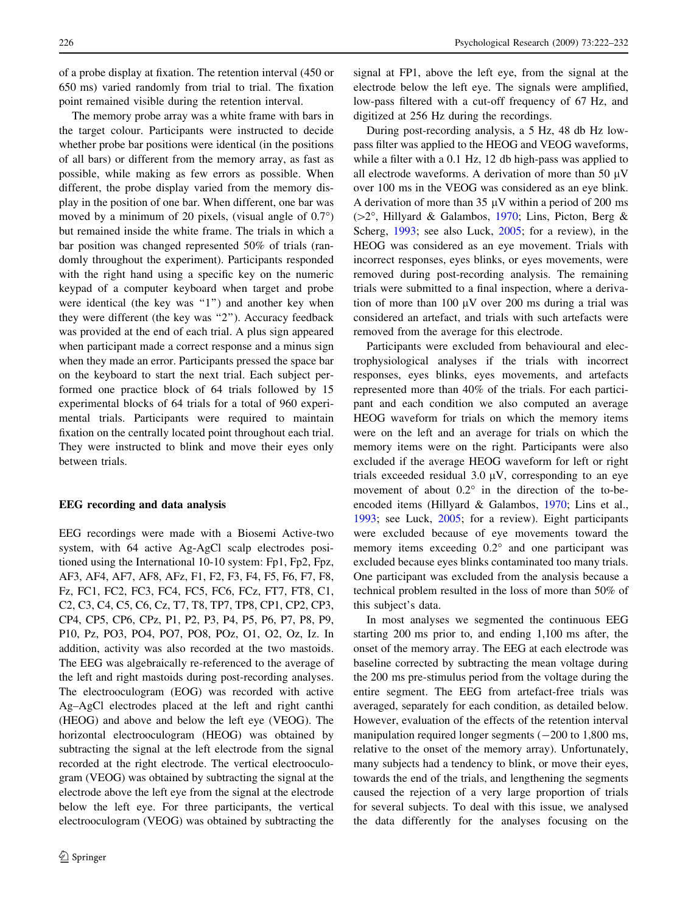of a probe display at fixation. The retention interval (450 or 650 ms) varied randomly from trial to trial. The fixation point remained visible during the retention interval.

The memory probe array was a white frame with bars in the target colour. Participants were instructed to decide whether probe bar positions were identical (in the positions of all bars) or different from the memory array, as fast as possible, while making as few errors as possible. When different, the probe display varied from the memory display in the position of one bar. When different, one bar was moved by a minimum of 20 pixels, (visual angle of  $0.7^{\circ}$ ) but remained inside the white frame. The trials in which a bar position was changed represented 50% of trials (randomly throughout the experiment). Participants responded with the right hand using a specific key on the numeric keypad of a computer keyboard when target and probe were identical (the key was "1") and another key when they were different (the key was "2"). Accuracy feedback was provided at the end of each trial. A plus sign appeared when participant made a correct response and a minus sign when they made an error. Participants pressed the space bar on the keyboard to start the next trial. Each subject performed one practice block of 64 trials followed by 15 experimental blocks of 64 trials for a total of 960 experimental trials. Participants were required to maintain fixation on the centrally located point throughout each trial. They were instructed to blink and move their eyes only between trials.

## EEG recording and data analysis

EEG recordings were made with a Biosemi Active-two system, with 64 active Ag-AgCl scalp electrodes positioned using the International 10-10 system: Fp1, Fp2, Fpz, AF3, AF4, AF7, AF8, AFz, F1, F2, F3, F4, F5, F6, F7, F8, Fz, FC1, FC2, FC3, FC4, FC5, FC6, FCz, FT7, FT8, C1, C2, C3, C4, C5, C6, Cz, T7, T8, TP7, TP8, CP1, CP2, CP3, CP4, CP5, CP6, CPz, P1, P2, P3, P4, P5, P6, P7, P8, P9, P10, Pz, PO3, PO4, PO7, PO8, POz, O1, O2, Oz, Iz. In addition, activity was also recorded at the two mastoids. The EEG was algebraically re-referenced to the average of the left and right mastoids during post-recording analyses. The electrooculogram (EOG) was recorded with active Ag–AgCl electrodes placed at the left and right canthi (HEOG) and above and below the left eye (VEOG). The horizontal electrooculogram (HEOG) was obtained by subtracting the signal at the left electrode from the signal recorded at the right electrode. The vertical electrooculogram (VEOG) was obtained by subtracting the signal at the electrode above the left eye from the signal at the electrode below the left eye. For three participants, the vertical electrooculogram (VEOG) was obtained by subtracting the signal at FP1, above the left eye, from the signal at the electrode below the left eye. The signals were amplified, low-pass filtered with a cut-off frequency of 67 Hz, and digitized at 256 Hz during the recordings.

During post-recording analysis, a 5 Hz, 48 db Hz lowpass filter was applied to the HEOG and VEOG waveforms, while a filter with a 0.1 Hz, 12 db high-pass was applied to all electrode waveforms. A derivation of more than 50  $\mu$ V over 100 ms in the VEOG was considered as an eye blink. A derivation of more than 35  $\mu$ V within a period of 200 ms ( $>2^\circ$ , Hillyard & Galambos, [1970;](#page-9-0) Lins, Picton, Berg & Scherg, [1993](#page-10-0); see also Luck, [2005;](#page-10-0) for a review), in the HEOG was considered as an eye movement. Trials with incorrect responses, eyes blinks, or eyes movements, were removed during post-recording analysis. The remaining trials were submitted to a final inspection, where a derivation of more than 100  $\mu$ V over 200 ms during a trial was considered an artefact, and trials with such artefacts were removed from the average for this electrode.

Participants were excluded from behavioural and electrophysiological analyses if the trials with incorrect responses, eyes blinks, eyes movements, and artefacts represented more than 40% of the trials. For each participant and each condition we also computed an average HEOG waveform for trials on which the memory items were on the left and an average for trials on which the memory items were on the right. Participants were also excluded if the average HEOG waveform for left or right trials exceeded residual  $3.0 \mu V$ , corresponding to an eye movement of about  $0.2^{\circ}$  in the direction of the to-beencoded items (Hillyard & Galambos, [1970;](#page-9-0) Lins et al., [1993](#page-10-0); see Luck, [2005](#page-10-0); for a review). Eight participants were excluded because of eye movements toward the memory items exceeding  $0.2^{\circ}$  and one participant was excluded because eyes blinks contaminated too many trials. One participant was excluded from the analysis because a technical problem resulted in the loss of more than 50% of this subject's data.

In most analyses we segmented the continuous EEG starting 200 ms prior to, and ending 1,100 ms after, the onset of the memory array. The EEG at each electrode was baseline corrected by subtracting the mean voltage during the 200 ms pre-stimulus period from the voltage during the entire segment. The EEG from artefact-free trials was averaged, separately for each condition, as detailed below. However, evaluation of the effects of the retention interval manipulation required longer segments  $(-200 \text{ to } 1,800 \text{ ms})$ , relative to the onset of the memory array). Unfortunately, many subjects had a tendency to blink, or move their eyes, towards the end of the trials, and lengthening the segments caused the rejection of a very large proportion of trials for several subjects. To deal with this issue, we analysed the data differently for the analyses focusing on the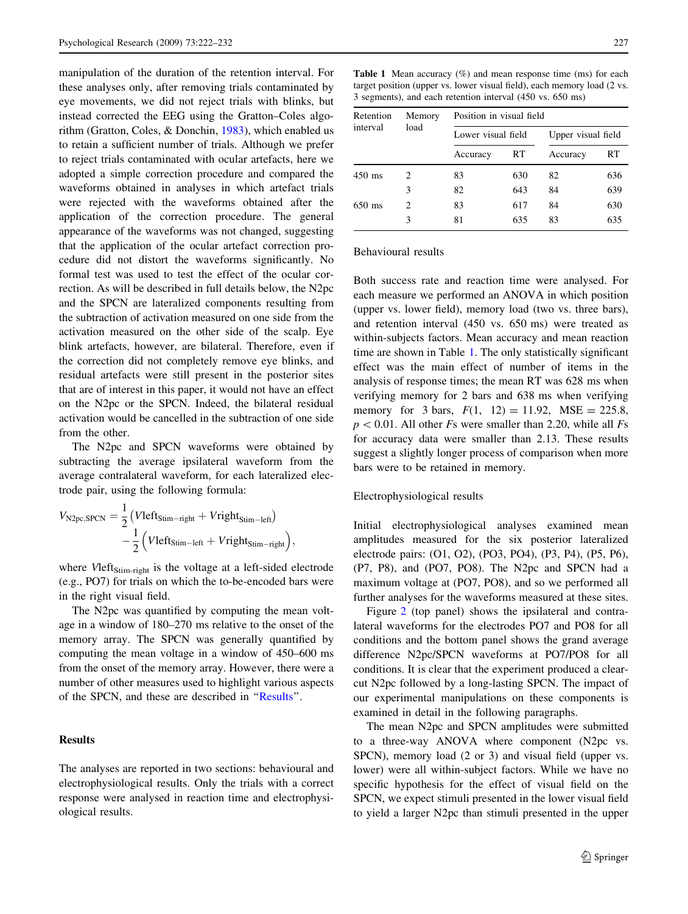manipulation of the duration of the retention interval. For these analyses only, after removing trials contaminated by eye movements, we did not reject trials with blinks, but instead corrected the EEG using the Gratton–Coles algorithm (Gratton, Coles, & Donchin, [1983](#page-9-0)), which enabled us to retain a sufficient number of trials. Although we prefer to reject trials contaminated with ocular artefacts, here we adopted a simple correction procedure and compared the waveforms obtained in analyses in which artefact trials were rejected with the waveforms obtained after the application of the correction procedure. The general appearance of the waveforms was not changed, suggesting that the application of the ocular artefact correction procedure did not distort the waveforms significantly. No formal test was used to test the effect of the ocular correction. As will be described in full details below, the N2pc and the SPCN are lateralized components resulting from the subtraction of activation measured on one side from the activation measured on the other side of the scalp. Eye blink artefacts, however, are bilateral. Therefore, even if the correction did not completely remove eye blinks, and residual artefacts were still present in the posterior sites that are of interest in this paper, it would not have an effect on the N2pc or the SPCN. Indeed, the bilateral residual activation would be cancelled in the subtraction of one side from the other.

The N2pc and SPCN waveforms were obtained by subtracting the average ipsilateral waveform from the average contralateral waveform, for each lateralized electrode pair, using the following formula:

$$
V_{\text{N2pc,SPCN}} = \frac{1}{2} (Vleft_{\text{Stim}-\text{right}} + Vright_{\text{Stim}-\text{left}}) - \frac{1}{2} (Vleft_{\text{Stim}-\text{left}} + Vright_{\text{stim}-\text{right}}),
$$

where Vleft<sub>Stim-right</sub> is the voltage at a left-sided electrode (e.g., PO7) for trials on which the to-be-encoded bars were in the right visual field.

The N2pc was quantified by computing the mean voltage in a window of 180–270 ms relative to the onset of the memory array. The SPCN was generally quantified by computing the mean voltage in a window of 450–600 ms from the onset of the memory array. However, there were a number of other measures used to highlight various aspects of the SPCN, and these are described in ''[Results'](#page-5-0)'.

## Results

<span id="page-5-0"></span>The analyses are reported in two sections: behavioural and electrophysiological results. Only the trials with a correct response were analysed in reaction time and electrophysiological results.

**Table 1** Mean accuracy  $(\%)$  and mean response time (ms) for each target position (upper vs. lower visual field), each memory load (2 vs. 3 segments), and each retention interval (450 vs. 650 ms)

| Retention<br>interval | Memory<br>load              | Position in visual field |     |                    |     |
|-----------------------|-----------------------------|--------------------------|-----|--------------------|-----|
|                       |                             | Lower visual field       |     | Upper visual field |     |
|                       |                             | Accuracy                 | RT. | Accuracy           | RT  |
| $450 \text{ ms}$      | 2                           | 83                       | 630 | 82                 | 636 |
|                       | 3                           | 82                       | 643 | 84                 | 639 |
| $650$ ms              | $\mathcal{D}_{\mathcal{A}}$ | 83                       | 617 | 84                 | 630 |
|                       | 3                           | 81                       | 635 | 83                 | 635 |

Behavioural results

Both success rate and reaction time were analysed. For each measure we performed an ANOVA in which position (upper vs. lower field), memory load (two vs. three bars), and retention interval (450 vs. 650 ms) were treated as within-subjects factors. Mean accuracy and mean reaction time are shown in Table [1](#page-5-0). The only statistically significant effect was the main effect of number of items in the analysis of response times; the mean RT was 628 ms when verifying memory for 2 bars and 638 ms when verifying memory for 3 bars,  $F(1, 12) = 11.92$ ,  $MSE = 225.8$ ,  $p\lt 0.01$ . All other Fs were smaller than 2.20, while all Fs for accuracy data were smaller than 2.13. These results suggest a slightly longer process of comparison when more bars were to be retained in memory.

#### Electrophysiological results

Initial electrophysiological analyses examined mean amplitudes measured for the six posterior lateralized electrode pairs: (O1, O2), (PO3, PO4), (P3, P4), (P5, P6), (P7, P8), and (PO7, PO8). The N2pc and SPCN had a maximum voltage at (PO7, PO8), and so we performed all further analyses for the waveforms measured at these sites.

Figure [2](#page-6-0) (top panel) shows the ipsilateral and contralateral waveforms for the electrodes PO7 and PO8 for all conditions and the bottom panel shows the grand average difference N2pc/SPCN waveforms at PO7/PO8 for all conditions. It is clear that the experiment produced a clearcut N2pc followed by a long-lasting SPCN. The impact of our experimental manipulations on these components is examined in detail in the following paragraphs.

The mean N2pc and SPCN amplitudes were submitted to a three-way ANOVA where component (N2pc vs. SPCN), memory load (2 or 3) and visual field (upper vs. lower) were all within-subject factors. While we have no specific hypothesis for the effect of visual field on the SPCN, we expect stimuli presented in the lower visual field to yield a larger N2pc than stimuli presented in the upper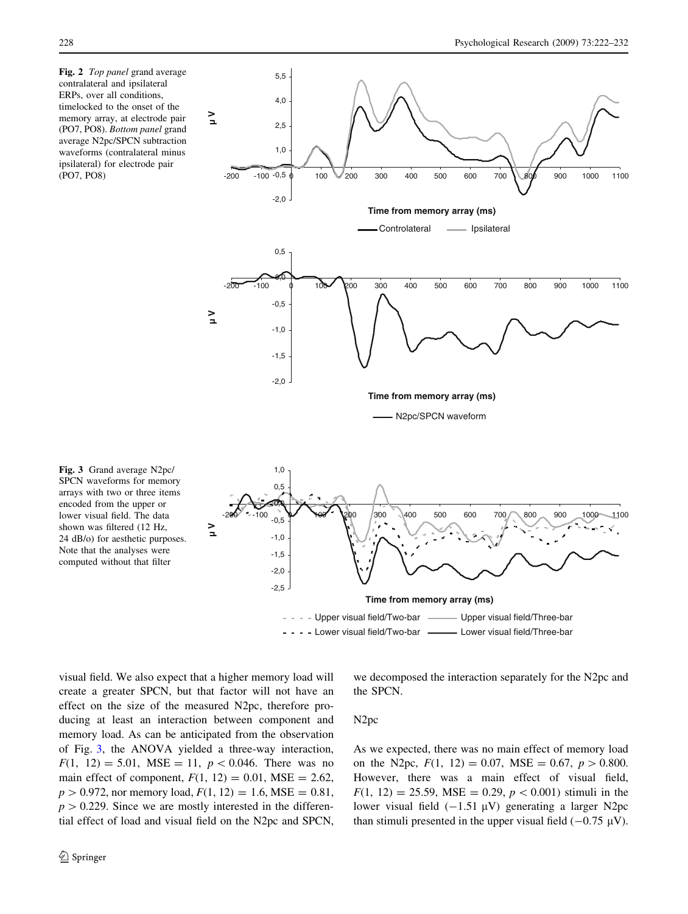Fig. 2 Top panel grand average contralateral and ipsilateral ERPs, over all conditions, timelocked to the onset of the memory array, at electrode pair (PO7, PO8). Bottom panel grand average N2pc/SPCN subtraction waveforms (contralateral minus ipsilateral) for electrode pair (PO7, PO8)



SPCN waveforms for memory arrays with two or three items encoded from the upper or lower visual field. The data shown was filtered (12 Hz, 24 dB/o) for aesthetic purposes. Note that the analyses were computed without that filter

Fig. 3 Grand average N2pc/

- Lower visual field/Two-bar - Lower visual field/Three-bar

<span id="page-6-0"></span>visual field. We also expect that a higher memory load will create a greater SPCN, but that factor will not have an effect on the size of the measured N2pc, therefore producing at least an interaction between component and memory load. As can be anticipated from the observation of Fig. [3](#page-6-0), the ANOVA yielded a three-way interaction,  $F(1, 12) = 5.01$ , MSE = 11,  $p < 0.046$ . There was no main effect of component,  $F(1, 12) = 0.01$ , MSE = 2.62,  $p > 0.972$ , nor memory load,  $F(1, 12) = 1.6$ , MSE = 0.81,  $p > 0.229$ . Since we are mostly interested in the differential effect of load and visual field on the N2pc and SPCN,

the SPCN.

N2pc

As we expected, there was no main effect of memory load on the N2pc,  $F(1, 12) = 0.07$ ,  $MSE = 0.67$ ,  $p > 0.800$ . However, there was a main effect of visual field,  $F(1, 12) = 25.59$ , MSE = 0.29,  $p < 0.001$ ) stimuli in the lower visual field  $(-1.51 \mu V)$  generating a larger N2pc than stimuli presented in the upper visual field  $(-0.75 \mu V)$ .

we decomposed the interaction separately for the N2pc and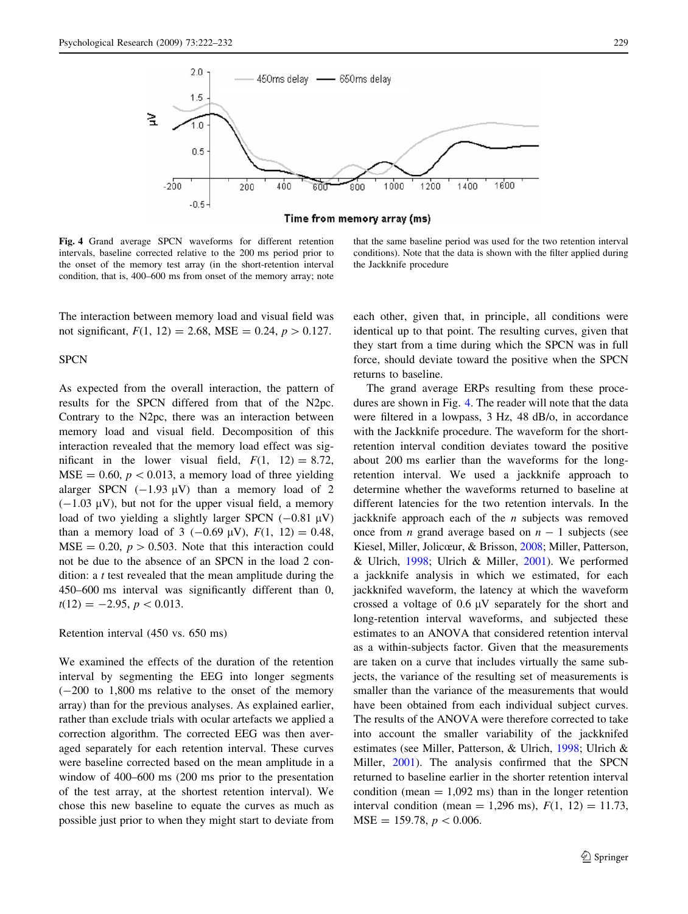

Time from memory array (ms)

Fig. 4 Grand average SPCN waveforms for different retention intervals, baseline corrected relative to the 200 ms period prior to the onset of the memory test array (in the short-retention interval condition, that is, 400–600 ms from onset of the memory array; note

The interaction between memory load and visual field was not significant,  $F(1, 12) = 2.68$ , MSE = 0.24,  $p > 0.127$ .

## **SPCN**

As expected from the overall interaction, the pattern of results for the SPCN differed from that of the N2pc. Contrary to the N2pc, there was an interaction between memory load and visual field. Decomposition of this interaction revealed that the memory load effect was significant in the lower visual field,  $F(1, 12) = 8.72$ ,  $MSE = 0.60, p < 0.013$ , a memory load of three yielding alarger SPCN  $(-1.93 \mu V)$  than a memory load of 2  $(-1.03 \mu V)$ , but not for the upper visual field, a memory load of two yielding a slightly larger SPCN  $(-0.81 \text{ }\mu\text{V})$ than a memory load of 3 (-0.69  $\mu$ V),  $F(1, 12) = 0.48$ ,  $MSE = 0.20$ ,  $p > 0.503$ . Note that this interaction could not be due to the absence of an SPCN in the load 2 condition: a t test revealed that the mean amplitude during the 450–600 ms interval was significantly different than 0,  $t(12) = -2.95, p < 0.013.$ 

Retention interval (450 vs. 650 ms)

<span id="page-7-0"></span>We examined the effects of the duration of the retention interval by segmenting the EEG into longer segments  $(-200 \text{ to } 1,800 \text{ ms}$  relative to the onset of the memory array) than for the previous analyses. As explained earlier, rather than exclude trials with ocular artefacts we applied a correction algorithm. The corrected EEG was then averaged separately for each retention interval. These curves were baseline corrected based on the mean amplitude in a window of 400–600 ms (200 ms prior to the presentation of the test array, at the shortest retention interval). We chose this new baseline to equate the curves as much as possible just prior to when they might start to deviate from

that the same baseline period was used for the two retention interval conditions). Note that the data is shown with the filter applied during the Jackknife procedure

each other, given that, in principle, all conditions were identical up to that point. The resulting curves, given that they start from a time during which the SPCN was in full force, should deviate toward the positive when the SPCN returns to baseline.

The grand average ERPs resulting from these procedures are shown in Fig. [4](#page-7-0). The reader will note that the data were filtered in a lowpass, 3 Hz, 48 dB/o, in accordance with the Jackknife procedure. The waveform for the shortretention interval condition deviates toward the positive about 200 ms earlier than the waveforms for the longretention interval. We used a jackknife approach to determine whether the waveforms returned to baseline at different latencies for the two retention intervals. In the jackknife approach each of the  $n$  subjects was removed once from *n* grand average based on  $n - 1$  subjects (see Kiesel, Miller, Jolicœur, & Brisson, [2008](#page-10-0); Miller, Patterson, & Ulrich, [1998](#page-10-0); Ulrich & Miller, [2001](#page-10-0)). We performed a jackknife analysis in which we estimated, for each jackknifed waveform, the latency at which the waveform crossed a voltage of  $0.6 \mu V$  separately for the short and long-retention interval waveforms, and subjected these estimates to an ANOVA that considered retention interval as a within-subjects factor. Given that the measurements are taken on a curve that includes virtually the same subjects, the variance of the resulting set of measurements is smaller than the variance of the measurements that would have been obtained from each individual subject curves. The results of the ANOVA were therefore corrected to take into account the smaller variability of the jackknifed estimates (see Miller, Patterson, & Ulrich, [1998;](#page-10-0) Ulrich & Miller, [2001](#page-10-0)). The analysis confirmed that the SPCN returned to baseline earlier in the shorter retention interval condition (mean  $= 1,092$  ms) than in the longer retention interval condition (mean = 1,296 ms),  $F(1, 12) = 11.73$ ,  $MSE = 159.78, p < 0.006.$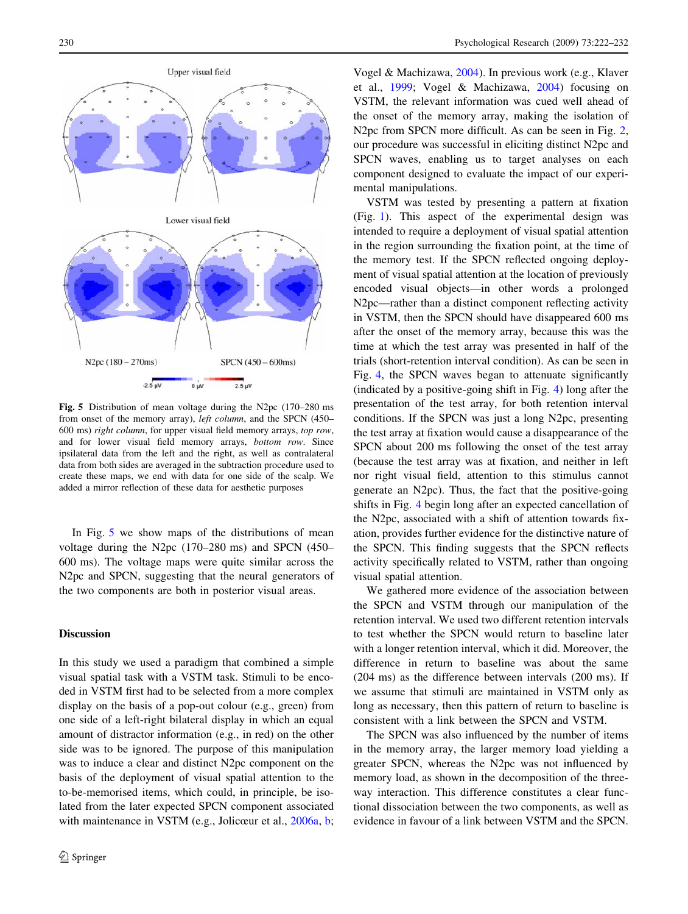

Fig. 5 Distribution of mean voltage during the N2pc (170–280 ms from onset of the memory array), left column, and the SPCN (450– 600 ms) right column, for upper visual field memory arrays, top row, and for lower visual field memory arrays, bottom row. Since ipsilateral data from the left and the right, as well as contralateral data from both sides are averaged in the subtraction procedure used to create these maps, we end with data for one side of the scalp. We added a mirror reflection of these data for aesthetic purposes

In Fig. [5](#page-8-0) we show maps of the distributions of mean voltage during the N2pc (170–280 ms) and SPCN (450– 600 ms). The voltage maps were quite similar across the N2pc and SPCN, suggesting that the neural generators of the two components are both in posterior visual areas.

### **Discussion**

<span id="page-8-0"></span>In this study we used a paradigm that combined a simple visual spatial task with a VSTM task. Stimuli to be encoded in VSTM first had to be selected from a more complex display on the basis of a pop-out colour (e.g., green) from one side of a left-right bilateral display in which an equal amount of distractor information (e.g., in red) on the other side was to be ignored. The purpose of this manipulation was to induce a clear and distinct N2pc component on the basis of the deployment of visual spatial attention to the to-be-memorised items, which could, in principle, be isolated from the later expected SPCN component associated with maintenance in VSTM (e.g., Jolicœur et al., [2006a](#page-10-0), [b](#page-10-0);

Vogel & Machizawa, [2004\)](#page-10-0). In previous work (e.g., Klaver et al., [1999](#page-10-0); Vogel & Machizawa, [2004\)](#page-10-0) focusing on VSTM, the relevant information was cued well ahead of the onset of the memory array, making the isolation of N<sub>2</sub>pc from SPCN more difficult. As can be seen in Fig. [2,](#page-6-0) our procedure was successful in eliciting distinct N2pc and SPCN waves, enabling us to target analyses on each component designed to evaluate the impact of our experimental manipulations.

VSTM was tested by presenting a pattern at fixation (Fig. [1\)](#page-2-0). This aspect of the experimental design was intended to require a deployment of visual spatial attention in the region surrounding the fixation point, at the time of the memory test. If the SPCN reflected ongoing deployment of visual spatial attention at the location of previously encoded visual objects—in other words a prolonged N2pc—rather than a distinct component reflecting activity in VSTM, then the SPCN should have disappeared 600 ms after the onset of the memory array, because this was the time at which the test array was presented in half of the trials (short-retention interval condition). As can be seen in Fig. [4](#page-7-0), the SPCN waves began to attenuate significantly (indicated by a positive-going shift in Fig. [4](#page-7-0)) long after the presentation of the test array, for both retention interval conditions. If the SPCN was just a long N2pc, presenting the test array at fixation would cause a disappearance of the SPCN about 200 ms following the onset of the test array (because the test array was at fixation, and neither in left nor right visual field, attention to this stimulus cannot generate an N2pc). Thus, the fact that the positive-going shifts in Fig. [4](#page-7-0) begin long after an expected cancellation of the N2pc, associated with a shift of attention towards fixation, provides further evidence for the distinctive nature of the SPCN. This finding suggests that the SPCN reflects activity specifically related to VSTM, rather than ongoing visual spatial attention.

We gathered more evidence of the association between the SPCN and VSTM through our manipulation of the retention interval. We used two different retention intervals to test whether the SPCN would return to baseline later with a longer retention interval, which it did. Moreover, the difference in return to baseline was about the same (204 ms) as the difference between intervals (200 ms). If we assume that stimuli are maintained in VSTM only as long as necessary, then this pattern of return to baseline is consistent with a link between the SPCN and VSTM.

The SPCN was also influenced by the number of items in the memory array, the larger memory load yielding a greater SPCN, whereas the N2pc was not influenced by memory load, as shown in the decomposition of the threeway interaction. This difference constitutes a clear functional dissociation between the two components, as well as evidence in favour of a link between VSTM and the SPCN.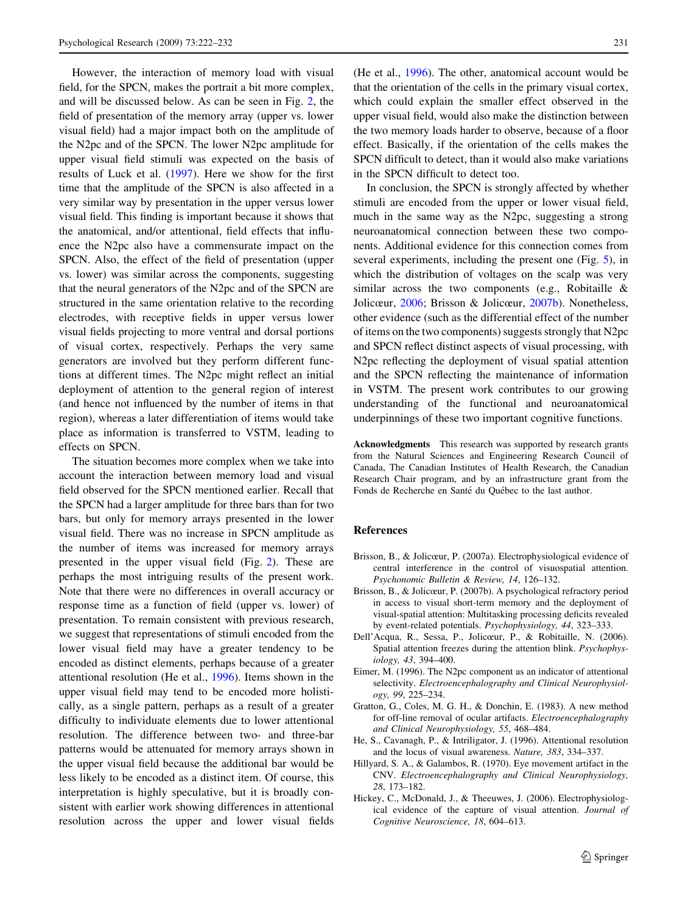However, the interaction of memory load with visual field, for the SPCN, makes the portrait a bit more complex, and will be discussed below. As can be seen in Fig. [2](#page-6-0), the field of presentation of the memory array (upper vs. lower visual field) had a major impact both on the amplitude of the N2pc and of the SPCN. The lower N2pc amplitude for upper visual field stimuli was expected on the basis of results of Luck et al. [\(1997](#page-10-0)). Here we show for the first time that the amplitude of the SPCN is also affected in a very similar way by presentation in the upper versus lower visual field. This finding is important because it shows that the anatomical, and/or attentional, field effects that influence the N2pc also have a commensurate impact on the SPCN. Also, the effect of the field of presentation (upper vs. lower) was similar across the components, suggesting that the neural generators of the N2pc and of the SPCN are structured in the same orientation relative to the recording electrodes, with receptive fields in upper versus lower visual fields projecting to more ventral and dorsal portions of visual cortex, respectively. Perhaps the very same generators are involved but they perform different functions at different times. The N2pc might reflect an initial deployment of attention to the general region of interest (and hence not influenced by the number of items in that region), whereas a later differentiation of items would take place as information is transferred to VSTM, leading to effects on SPCN.

The situation becomes more complex when we take into account the interaction between memory load and visual field observed for the SPCN mentioned earlier. Recall that the SPCN had a larger amplitude for three bars than for two bars, but only for memory arrays presented in the lower visual field. There was no increase in SPCN amplitude as the number of items was increased for memory arrays presented in the upper visual field (Fig. [2\)](#page-6-0). These are perhaps the most intriguing results of the present work. Note that there were no differences in overall accuracy or response time as a function of field (upper vs. lower) of presentation. To remain consistent with previous research, we suggest that representations of stimuli encoded from the lower visual field may have a greater tendency to be encoded as distinct elements, perhaps because of a greater attentional resolution (He et al., [1996\)](#page-9-0). Items shown in the upper visual field may tend to be encoded more holistically, as a single pattern, perhaps as a result of a greater difficulty to individuate elements due to lower attentional resolution. The difference between two- and three-bar patterns would be attenuated for memory arrays shown in the upper visual field because the additional bar would be less likely to be encoded as a distinct item. Of course, this interpretation is highly speculative, but it is broadly consistent with earlier work showing differences in attentional resolution across the upper and lower visual fields

(He et al., [1996](#page-9-0)). The other, anatomical account would be that the orientation of the cells in the primary visual cortex, which could explain the smaller effect observed in the upper visual field, would also make the distinction between the two memory loads harder to observe, because of a floor effect. Basically, if the orientation of the cells makes the SPCN difficult to detect, than it would also make variations in the SPCN difficult to detect too.

In conclusion, the SPCN is strongly affected by whether stimuli are encoded from the upper or lower visual field, much in the same way as the N2pc, suggesting a strong neuroanatomical connection between these two components. Additional evidence for this connection comes from several experiments, including the present one (Fig. [5](#page-8-0)), in which the distribution of voltages on the scalp was very similar across the two components (e.g., Robitaille & Jolicœur, [2006;](#page-10-0) Brisson & Jolicœur, [2007b\)](#page-9-0). Nonetheless, other evidence (such as the differential effect of the number of items on the two components) suggests strongly that N2pc and SPCN reflect distinct aspects of visual processing, with N2pc reflecting the deployment of visual spatial attention and the SPCN reflecting the maintenance of information in VSTM. The present work contributes to our growing understanding of the functional and neuroanatomical underpinnings of these two important cognitive functions.

Acknowledgments This research was supported by research grants from the Natural Sciences and Engineering Research Council of Canada, The Canadian Institutes of Health Research, the Canadian Research Chair program, and by an infrastructure grant from the Fonds de Recherche en Santé du Québec to the last author.

## References

- Brisson, B., & Jolicœur, P. (2007a). Electrophysiological evidence of central interference in the control of visuospatial attention. Psychonomic Bulletin & Review, 14, 126–132.
- Brisson, B., & Jolicœur, P. (2007b). A psychological refractory period in access to visual short-term memory and the deployment of visual-spatial attention: Multitasking processing deficits revealed by event-related potentials. Psychophysiology, 44, 323–333.
- Dell'Acqua, R., Sessa, P., Jolicœur, P., & Robitaille, N. (2006). Spatial attention freezes during the attention blink. Psychophysiology, 43, 394–400.
- Eimer, M. (1996). The N2pc component as an indicator of attentional selectivity. Electroencephalography and Clinical Neurophysiology, 99, 225–234.
- Gratton, G., Coles, M. G. H., & Donchin, E. (1983). A new method for off-line removal of ocular artifacts. Electroencephalography and Clinical Neurophysiology, 55, 468–484.
- He, S., Cavanagh, P., & Intriligator, J. (1996). Attentional resolution and the locus of visual awareness. Nature, 383, 334–337.
- Hillyard, S. A., & Galambos, R. (1970). Eye movement artifact in the CNV. Electroencephalography and Clinical Neurophysiology, 28, 173–182.
- <span id="page-9-0"></span>Hickey, C., McDonald, J., & Theeuwes, J. (2006). Electrophysiological evidence of the capture of visual attention. Journal of Cognitive Neuroscience, 18, 604–613.